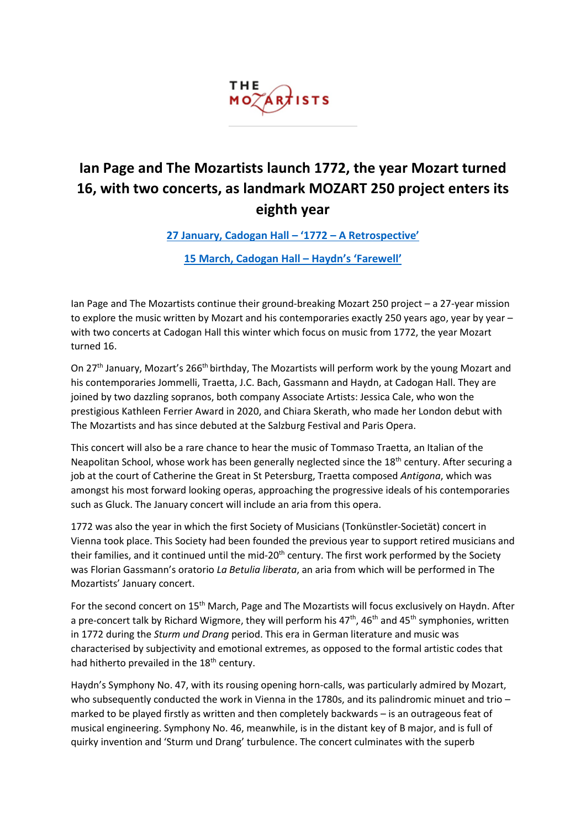

# **Ian Page and The Mozartists launch 1772, the year Mozart turned 16, with two concerts, as landmark MOZART 250 project enters its eighth year**

**[27 January, Cadogan Hall](https://www.mozartists.com/1772-a-retrospective/) – '1772 – A Retrospective'**

**[15 March, Cadogan Hall](https://www.mozartists.com/haydns-farewell/) – Haydn's 'Farewell'**

Ian Page and The Mozartists continue their ground-breaking Mozart 250 project – a 27-year mission to explore the music written by Mozart and his contemporaries exactly 250 years ago, year by year – with two concerts at Cadogan Hall this winter which focus on music from 1772, the year Mozart turned 16.

On 27<sup>th</sup> January, Mozart's 266<sup>th</sup> birthday, The Mozartists will perform work by the young Mozart and his contemporaries Jommelli, Traetta, J.C. Bach, Gassmann and Haydn, at Cadogan Hall. They are joined by two dazzling sopranos, both company Associate Artists: Jessica Cale, who won the prestigious Kathleen Ferrier Award in 2020, and Chiara Skerath, who made her London debut with The Mozartists and has since debuted at the Salzburg Festival and Paris Opera.

This concert will also be a rare chance to hear the music of Tommaso Traetta, an Italian of the Neapolitan School, whose work has been generally neglected since the 18<sup>th</sup> century. After securing a job at the court of Catherine the Great in St Petersburg, Traetta composed *Antigona*, which was amongst his most forward looking operas, approaching the progressive ideals of his contemporaries such as Gluck. The January concert will include an aria from this opera.

1772 was also the year in which the first Society of Musicians (Tonkünstler-Societät) concert in Vienna took place. This Society had been founded the previous year to support retired musicians and their families, and it continued until the mid-20<sup>th</sup> century. The first work performed by the Society was Florian Gassmann's oratorio *La Betulia liberata*, an aria from which will be performed in The Mozartists' January concert.

For the second concert on 15<sup>th</sup> March, Page and The Mozartists will focus exclusively on Haydn. After a pre-concert talk by Richard Wigmore, they will perform his  $47<sup>th</sup>$ ,  $46<sup>th</sup>$  and  $45<sup>th</sup>$  symphonies, written in 1772 during the *Sturm und Drang* period. This era in German literature and music was characterised by subjectivity and emotional extremes, as opposed to the formal artistic codes that had hitherto prevailed in the 18<sup>th</sup> century.

Haydn's Symphony No. 47, with its rousing opening horn-calls, was particularly admired by Mozart, who subsequently conducted the work in Vienna in the 1780s, and its palindromic minuet and trio – marked to be played firstly as written and then completely backwards – is an outrageous feat of musical engineering. Symphony No. 46, meanwhile, is in the distant key of B major, and is full of quirky invention and 'Sturm und Drang' turbulence. The concert culminates with the superb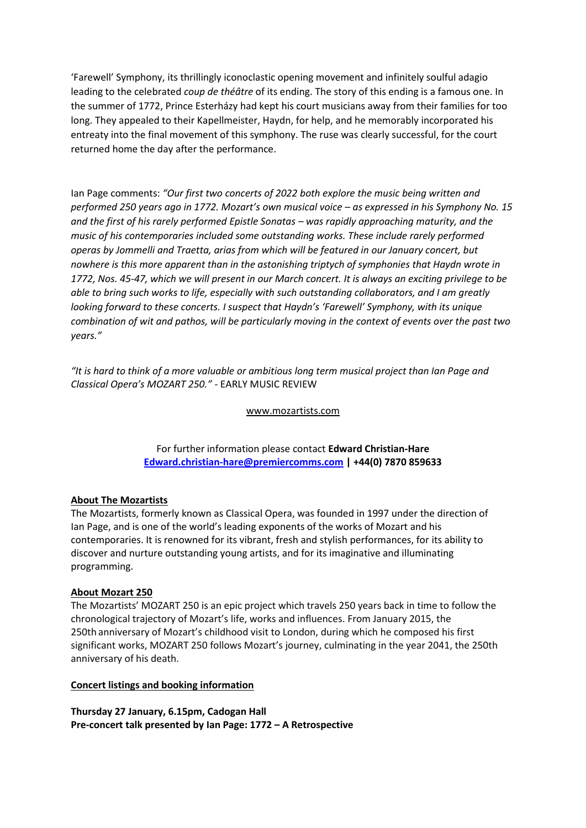'Farewell' Symphony, its thrillingly iconoclastic opening movement and infinitely soulful adagio leading to the celebrated *coup de théâtre* of its ending. The story of this ending is a famous one. In the summer of 1772, Prince Esterházy had kept his court musicians away from their families for too long. They appealed to their Kapellmeister, Haydn, for help, and he memorably incorporated his entreaty into the final movement of this symphony. The ruse was clearly successful, for the court returned home the day after the performance.

Ian Page comments: *"Our first two concerts of 2022 both explore the music being written and performed 250 years ago in 1772. Mozart's own musical voice – as expressed in his Symphony No. 15 and the first of his rarely performed Epistle Sonatas – was rapidly approaching maturity, and the music of his contemporaries included some outstanding works. These include rarely performed operas by Jommelli and Traetta, arias from which will be featured in our January concert, but nowhere is this more apparent than in the astonishing triptych of symphonies that Haydn wrote in 1772, Nos. 45-47, which we will present in our March concert. It is always an exciting privilege to be able to bring such works to life, especially with such outstanding collaborators, and I am greatly looking forward to these concerts. I suspect that Haydn's 'Farewell' Symphony, with its unique combination of wit and pathos, will be particularly moving in the context of events over the past two years."*

*"It is hard to think of a more valuable or ambitious long term musical project than Ian Page and Classical Opera's MOZART 250."* - EARLY MUSIC REVIEW

#### www.mozartists.com

For further information please contact **Edward Christian-Hare [Edward.christian-hare@premiercomms.com](mailto:Edward.christian-hare@premiercomms.com) | +44(0) 7870 859633**

### **About The Mozartists**

The Mozartists, formerly known as Classical Opera, was founded in 1997 under the direction of Ian Page, and is one of the world's leading exponents of the works of Mozart and his contemporaries. It is renowned for its vibrant, fresh and stylish performances, for its ability to discover and nurture outstanding young artists, and for its imaginative and illuminating programming.

### **About Mozart 250**

The Mozartists' MOZART 250 is an epic project which travels 250 years back in time to follow the chronological trajectory of Mozart's life, works and influences. From January 2015, the 250th anniversary of Mozart's childhood visit to London, during which he composed his first significant works, MOZART 250 follows Mozart's journey, culminating in the year 2041, the 250th anniversary of his death.

### **Concert listings and booking information**

**Thursday 27 January, 6.15pm, Cadogan Hall Pre-concert talk presented by Ian Page: 1772 – A Retrospective**